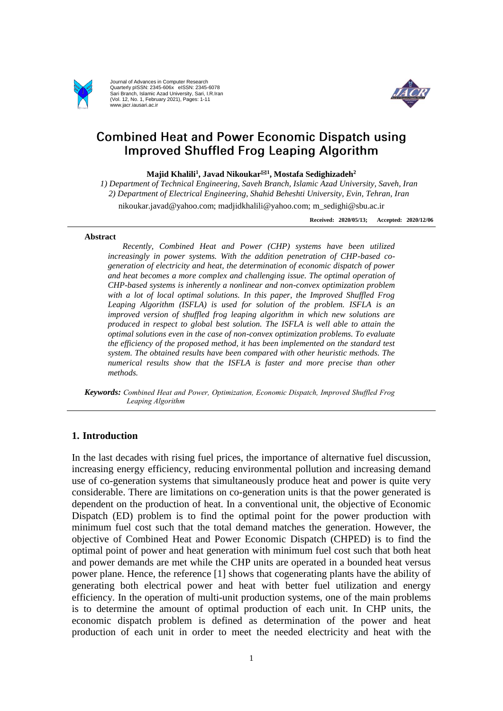

Journal of Advances in Computer Research Quarterly pISSN: 2345-606x eISSN: 2345-6078 Sari Branch, Islamic Azad University, Sari, I.R.Iran (Vol. 12, No. 1, February 2021), Pages: 1-11 www.jacr.iausari.ac.ir



# **Combined Heat and Power Economic Dispatch using Improved Shuffled Frog Leaping Algorithm**

**Majid Khalili<sup>1</sup> , Javad Nikoukar<sup>1</sup> , Mostafa Sedighizadeh<sup>2</sup>**

*1) Department of Technical Engineering, Saveh Branch, Islamic Azad University, Saveh, Iran 2) Department of Electrical Engineering, Shahid Beheshti University, Evin, Tehran, Iran*

nikoukar.javad@yahoo.com; madjidkhalili@yahoo.com; m\_sedighi@sbu.ac.ir

**Received: 2020/05/13; Accepted: 2020/12/06**

#### **Abstract**

*Recently, Combined Heat and Power (CHP) systems have been utilized increasingly in power systems. With the addition penetration of CHP-based cogeneration of electricity and heat, the determination of economic dispatch of power and heat becomes a more complex and challenging issue. The optimal operation of CHP-based systems is inherently a nonlinear and non-convex optimization problem with a lot of local optimal solutions. In this paper, the Improved Shuffled Frog Leaping Algorithm (ISFLA) is used for solution of the problem. ISFLA is an improved version of shuffled frog leaping algorithm in which new solutions are produced in respect to global best solution. The ISFLA is well able to attain the optimal solutions even in the case of non-convex optimization problems. To evaluate the efficiency of the proposed method, it has been implemented on the standard test system. The obtained results have been compared with other heuristic methods. The numerical results show that the ISFLA is faster and more precise than other methods.* 

*Keywords: Combined Heat and Power, Optimization, Economic Dispatch, Improved Shuffled Frog Leaping Algorithm*

## **1. Introduction**

In the last decades with rising fuel prices, the importance of alternative fuel discussion, increasing energy efficiency, reducing environmental pollution and increasing demand use of co-generation systems that simultaneously produce heat and power is quite very considerable. There are limitations on co-generation units is that the power generated is dependent on the production of heat. In a conventional unit, the objective of Economic Dispatch (ED) problem is to find the optimal point for the power production with minimum fuel cost such that the total demand matches the generation. However, the objective of Combined Heat and Power Economic Dispatch (CHPED) is to find the optimal point of power and heat generation with minimum fuel cost such that both heat and power demands are met while the CHP units are operated in a bounded heat versus power plane. Hence, the reference [1] shows that cogenerating plants have the ability of generating both electrical power and heat with better fuel utilization and energy efficiency. In the operation of multi-unit production systems, one of the main problems is to determine the amount of optimal production of each unit. In CHP units, the economic dispatch problem is defined as determination of the power and heat production of each unit in order to meet the needed electricity and heat with the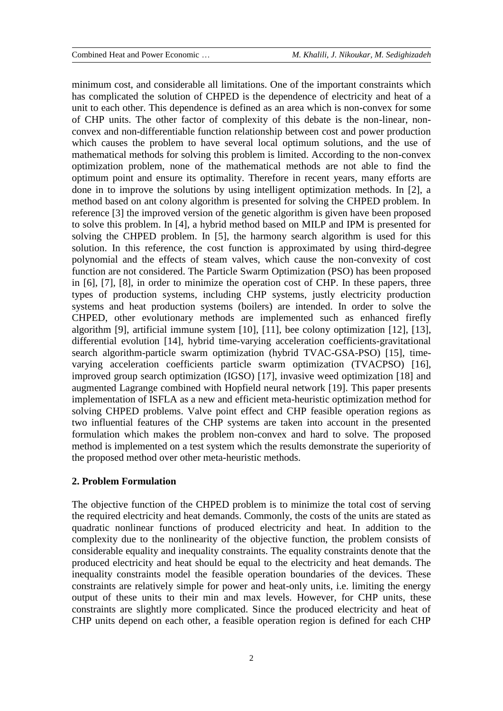minimum cost, and considerable all limitations. One of the important constraints which has complicated the solution of CHPED is the dependence of electricity and heat of a unit to each other. This dependence is defined as an area which is non-convex for some of CHP units. The other factor of complexity of this debate is the non-linear, nonconvex and non-differentiable function relationship between cost and power production which causes the problem to have several local optimum solutions, and the use of mathematical methods for solving this problem is limited. According to the non-convex optimization problem, none of the mathematical methods are not able to find the optimum point and ensure its optimality. Therefore in recent years, many efforts are done in to improve the solutions by using intelligent optimization methods. In [2], a method based on ant colony algorithm is presented for solving the CHPED problem. In reference [3] the improved version of the genetic algorithm is given have been proposed to solve this problem. In [4], a hybrid method based on MILP and IPM is presented for solving the CHPED problem. In [5], the harmony search algorithm is used for this solution. In this reference, the cost function is approximated by using third-degree polynomial and the effects of steam valves, which cause the non-convexity of cost function are not considered. The Particle Swarm Optimization (PSO) has been proposed in [6], [7], [8], in order to minimize the operation cost of CHP. In these papers, three types of production systems, including CHP systems, justly electricity production systems and heat production systems (boilers) are intended. In order to solve the CHPED, other evolutionary methods are implemented such as enhanced firefly algorithm [9], artificial immune system [10], [11], bee colony optimization [12], [13], differential evolution [14], hybrid time-varying acceleration coefficients-gravitational search algorithm-particle swarm optimization (hybrid TVAC-GSA-PSO) [15], timevarying acceleration coefficients particle swarm optimization (TVACPSO) [16], improved group search optimization (IGSO) [17], invasive weed optimization [18] and augmented Lagrange combined with Hopfield neural network [19]. This paper presents implementation of ISFLA as a new and efficient meta-heuristic optimization method for solving CHPED problems. Valve point effect and CHP feasible operation regions as two influential features of the CHP systems are taken into account in the presented formulation which makes the problem non-convex and hard to solve. The proposed method is implemented on a test system which the results demonstrate the superiority of the proposed method over other meta-heuristic methods.

#### **2. Problem Formulation**

The objective function of the CHPED problem is to minimize the total cost of serving the required electricity and heat demands. Commonly, the costs of the units are stated as quadratic nonlinear functions of produced electricity and heat. In addition to the complexity due to the nonlinearity of the objective function, the problem consists of considerable equality and inequality constraints. The equality constraints denote that the produced electricity and heat should be equal to the electricity and heat demands. The inequality constraints model the feasible operation boundaries of the devices. These constraints are relatively simple for power and heat-only units, i.e. limiting the energy output of these units to their min and max levels. However, for CHP units, these constraints are slightly more complicated. Since the produced electricity and heat of CHP units depend on each other, a feasible operation region is defined for each CHP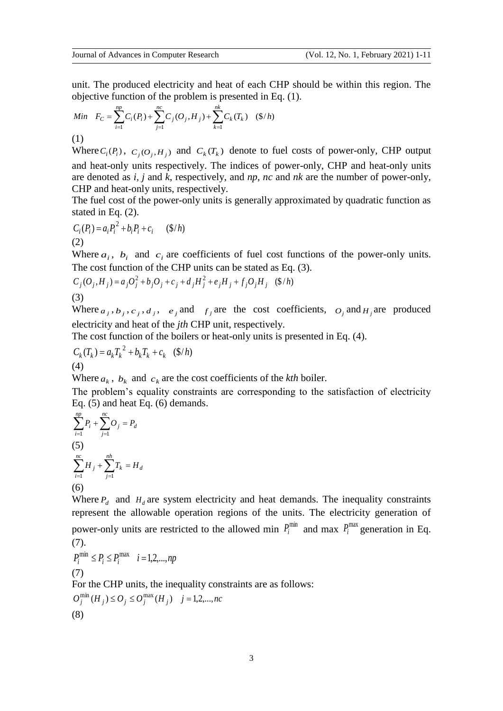unit. The produced electricity and heat of each CHP should be within this region. The objective function of the problem is presented in Eq. (1).

Min 
$$
F_C = \sum_{i=1}^{np} C_i(P_i) + \sum_{j=1}^{nc} C_j(O_j, H_j) + \sum_{k=1}^{nk} C_k(T_k)
$$
 (§/h)

(1)

Where  $C_i(P_i)$ ,  $C_j(O_j, H_j)$  and  $C_k(T_k)$  denote to fuel costs of power-only, CHP output and heat-only units respectively. The indices of power-only, CHP and heat-only units are denoted as *i, j* and *k*, respectively, and *np, nc* and *nk* are the number of power-only, CHP and heat-only units, respectively.

The fuel cost of the power-only units is generally approximated by quadratic function as stated in Eq. (2).

$$
C_i(P_i) = a_i P_i^2 + b_i P_i + c_i \quad (\$/h)
$$
  
(2)

Where  $a_i$ ,  $b_i$  and  $c_i$  are coefficients of fuel cost functions of the power-only units. The cost function of the CHP units can be stated as Eq. (3).

$$
C_j(O_j, H_j) = a_j O_j^2 + b_j O_j + c_j + d_j H_j^2 + e_j H_j + f_j O_j H_j \quad (\$/h)
$$
  
(3)

Where  $a_j$ ,  $b_j$ ,  $c_j$ ,  $d_j$ ,  $e_j$  and  $f_j$  are the cost coefficients,  $o_j$  and  $H_j$  are produced electricity and heat of the *jth* CHP unit, respectively.

The cost function of the boilers or heat-only units is presented in Eq. (4).

$$
C_k(T_k) = a_k T_k^2 + b_k T_k + c_k \quad (\$/h)
$$
  
(4)

Where  $a_k$ ,  $b_k$  and  $c_k$  are the cost coefficients of the *kth* boiler.

The problem's equality constraints are corresponding to the satisfaction of electricity Eq. (5) and heat Eq. (6) demands.

$$
\sum_{i=1}^{np} P_i + \sum_{j=1}^{nc} O_j = P_d
$$
  
(5)  

$$
\sum_{i=1}^{nc} H_j + \sum_{j=1}^{nh} T_k = H_d
$$
  
(6)

Where  $P_d$  and  $H_d$  are system electricity and heat demands. The inequality constraints represent the allowable operation regions of the units. The electricity generation of power-only units are restricted to the allowed min  $P_i^{\text{min}}$  and max  $P_i^{\text{max}}$  generation in Eq. (7).

$$
P_i^{\min} \le P_i \le P_i^{\max} \quad i = 1, 2, \dots, np
$$
  
(7)

For the CHP units, the inequality constraints are as follows:

$$
O_j^{\min}(H_j) \le O_j \le O_j^{\max}(H_j) \quad j = 1, 2, ..., nc
$$
\n(8)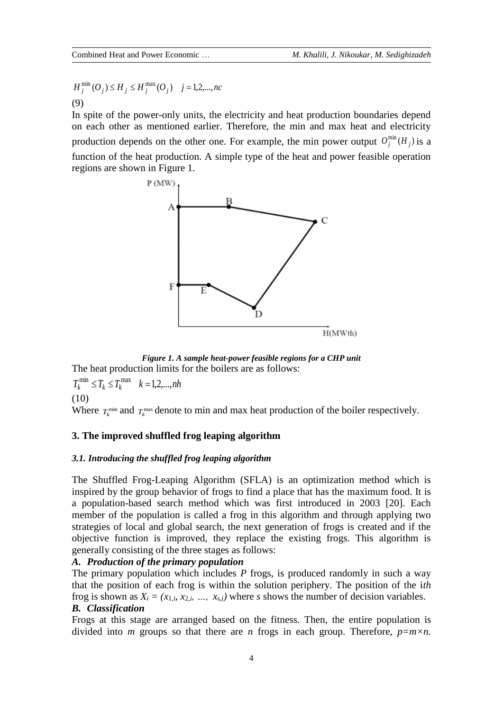$$
H_j^{\min}(O_j) \le H_j \le H_j^{\max}(O_j) \quad j = 1, 2, ..., nc
$$
  
(9)

In spite of the power-only units, the electricity and heat production boundaries depend on each other as mentioned earlier. Therefore, the min and max heat and electricity production depends on the other one. For example, the min power output  $O_j^{\min}(H_j)$  is a function of the heat production. A simple type of the heat and power feasible operation regions are shown in Figure 1.



*Figure 1. A sample heat-power feasible regions for a CHP unit* The heat production limits for the boilers are as follows:

 $T_k^{\min} \le T_k \le T_k^{\max}$   $k = 1, 2, ..., nh$ (10)

Where  $T_k^{\text{min}}$  and  $T_k^{\text{max}}$  denote to min and max heat production of the boiler respectively.

## **3. The improved shuffled frog leaping algorithm**

## *3.1. Introducing the shuffled frog leaping algorithm*

The Shuffled Frog-Leaping Algorithm (SFLA) is an optimization method which is inspired by the group behavior of frogs to find a place that has the maximum food. It is a population-based search method which was first introduced in 2003 [20]. Each member of the population is called a frog in this algorithm and through applying two strategies of local and global search, the next generation of frogs is created and if the objective function is improved, they replace the existing frogs. This algorithm is generally consisting of the three stages as follows:

## *A. Production of the primary population*

The primary population which includes *P* frogs, is produced randomly in such a way that the position of each frog is within the solution periphery. The position of the i*th* frog is shown as  $X_i = (x_{1,i}, x_{2,i}, \ldots, x_{s,i})$  where *s* shows the number of decision variables. *B. Classification*

Frogs at this stage are arranged based on the fitness. Then, the entire population is divided into *m* groups so that there are *n* frogs in each group. Therefore,  $p=m\times n$ .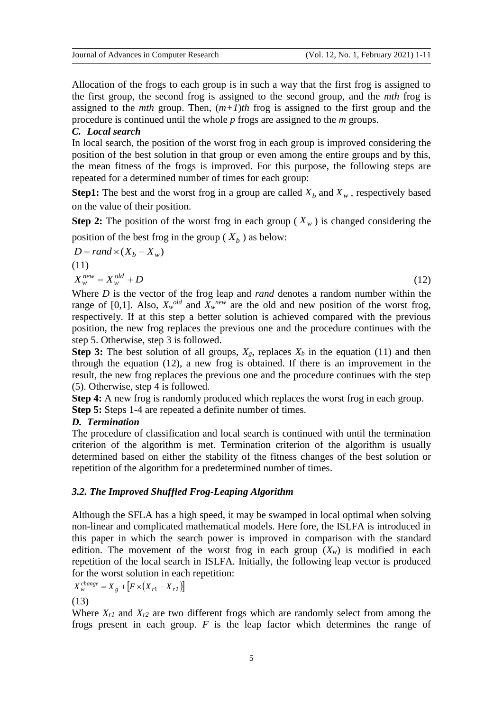Allocation of the frogs to each group is in such a way that the first frog is assigned to the first group, the second frog is assigned to the second group, and the *mth* frog is assigned to the *mth* group. Then,  $(m+1)$ *th* frog is assigned to the first group and the procedure is continued until the whole *p* frogs are assigned to the *m* groups.

## *C. Local search*

In local search, the position of the worst frog in each group is improved considering the position of the best solution in that group or even among the entire groups and by this, the mean fitness of the frogs is improved. For this purpose, the following steps are repeated for a determined number of times for each group:

**Step1:** The best and the worst frog in a group are called  $X_b$  and  $X_w$ , respectively based on the value of their position.

**Step 2:** The position of the worst frog in each group ( $X_w$ ) is changed considering the position of the best frog in the group ( $X_b$ ) as below:

$$
D = rand \times (X_b - X_w)
$$
  
(11)  

$$
Y^{new} - Y^{old} + D
$$

 $X_w^{new} = X_w^{old} + D$ *w*  $w_w^{new} = X_w^{old} + D$  (12)

Where *D* is the vector of the frog leap and *rand* denotes a random number within the range of [0,1]. Also,  $X_w^{old}$  and  $X_w^{new}$  are the old and new position of the worst frog, respectively. If at this step a better solution is achieved compared with the previous position, the new frog replaces the previous one and the procedure continues with the step 5. Otherwise, step 3 is followed.

**Step 3:** The best solution of all groups,  $X_g$ , replaces  $X_b$  in the equation (11) and then through the equation (12), a new frog is obtained. If there is an improvement in the result, the new frog replaces the previous one and the procedure continues with the step (5). Otherwise, step 4 is followed.

**Step 4:** A new frog is randomly produced which replaces the worst frog in each group. **Step 5:** Steps 1-4 are repeated a definite number of times.

## *D. Termination*

The procedure of classification and local search is continued with until the termination criterion of the algorithm is met. Termination criterion of the algorithm is usually determined based on either the stability of the fitness changes of the best solution or repetition of the algorithm for a predetermined number of times.

## *3.2. The Improved Shuffled Frog-Leaping Algorithm*

Although the SFLA has a high speed, it may be swamped in local optimal when solving non-linear and complicated mathematical models. Here fore, the ISLFA is introduced in this paper in which the search power is improved in comparison with the standard edition. The movement of the worst frog in each group  $(X_w)$  is modified in each repetition of the local search in ISLFA. Initially, the following leap vector is produced for the worst solution in each repetition:

$$
X_{w}^{change} = X_{g} + [F \times (X_{r1} - X_{r2})]
$$

(13)

Where  $X_{r1}$  and  $X_{r2}$  are two different frogs which are randomly select from among the frogs present in each group. *F* is the leap factor which determines the range of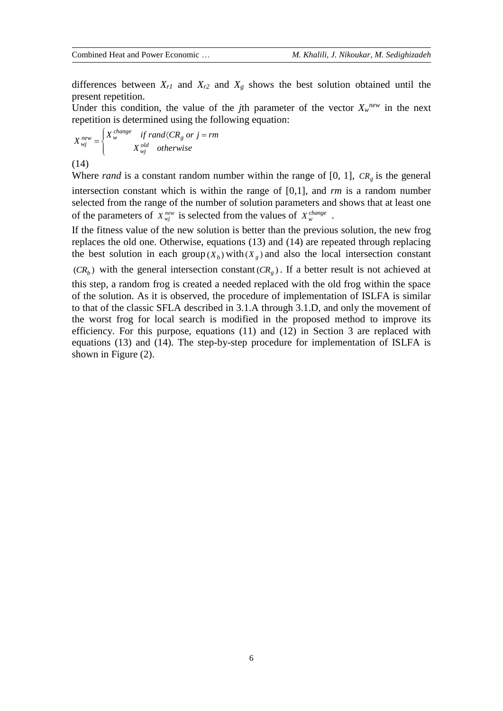differences between  $X_{r1}$  and  $X_{r2}$  and  $X_g$  shows the best solution obtained until the present repetition.

Under this condition, the value of the *j*th parameter of the vector  $X_w^{new}$  in the next repetition is determined using the following equation:

$$
X_{wj}^{new} = \begin{cases} X_{w}^{change} & \text{if } rand \langle CR_g \text{ or } j = rm \\ X_{wj}^{old} & \text{otherwise} \end{cases}
$$

(14)

Where *rand* is a constant random number within the range of [0, 1],  $CR<sub>g</sub>$  is the general intersection constant which is within the range of [0,1], and *rm* is a random number selected from the range of the number of solution parameters and shows that at least one of the parameters of  $X_{mj}^{new}$  is selected from the values of  $X_{w}^{change}$ .

If the fitness value of the new solution is better than the previous solution, the new frog replaces the old one. Otherwise, equations (13) and (14) are repeated through replacing the best solution in each group  $(X_b)$  with  $(X_g)$  and also the local intersection constant  $(CR_b)$  with the general intersection constant  $(CR_g)$ . If a better result is not achieved at this step, a random frog is created a needed replaced with the old frog within the space of the solution. As it is observed, the procedure of implementation of ISLFA is similar to that of the classic SFLA described in 3.1.A through 3.1.D, and only the movement of the worst frog for local search is modified in the proposed method to improve its efficiency. For this purpose, equations (11) and (12) in Section 3 are replaced with equations (13) and (14). The step-by-step procedure for implementation of ISLFA is

shown in Figure (2).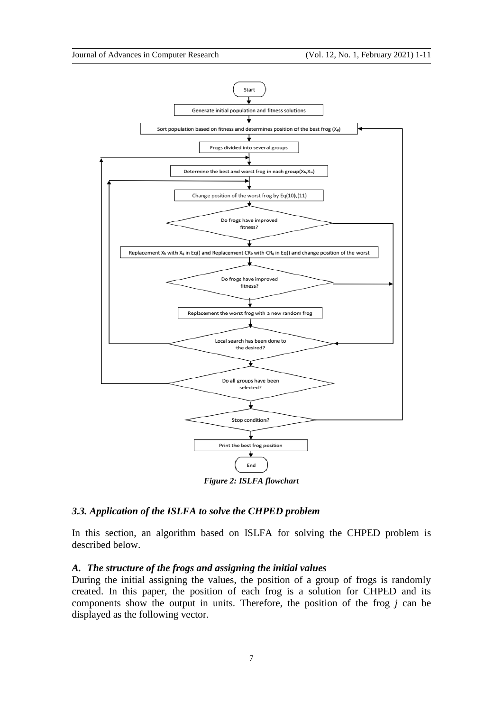

*Figure 2: ISLFA flowchart*

### *3.3. Application of the ISLFA to solve the CHPED problem*

In this section, an algorithm based on ISLFA for solving the CHPED problem is described below.

# *A. The structure of the frogs and assigning the initial values*

During the initial assigning the values, the position of a group of frogs is randomly created. In this paper, the position of each frog is a solution for CHPED and its components show the output in units. Therefore, the position of the frog *j* can be displayed as the following vector.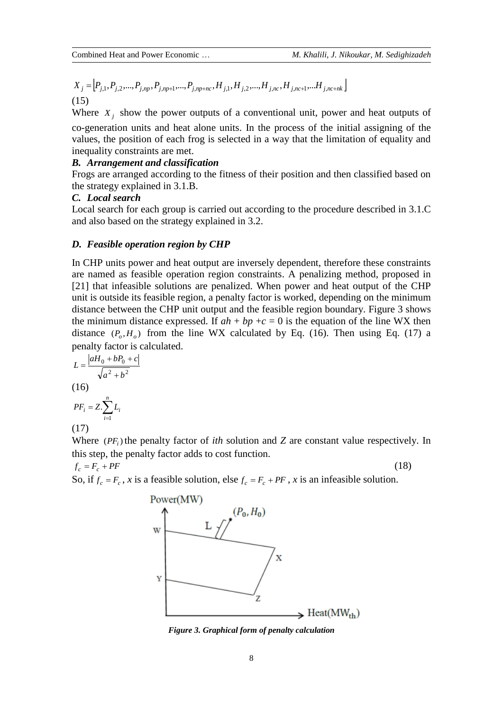$$
X_j = [P_{j,1}, P_{j,2}, \dots, P_{j,np}, P_{j,np+1}, \dots, P_{j,np+nc}, H_{j,1}, H_{j,2}, \dots, H_{j,nc}, H_{j,nc+1}, \dots H_{j,nc+nk}]
$$
  
(15)

Where  $X_j$  show the power outputs of a conventional unit, power and heat outputs of co-generation units and heat alone units. In the process of the initial assigning of the values, the position of each frog is selected in a way that the limitation of equality and inequality constraints are met.

## *B. Arrangement and classification*

Frogs are arranged according to the fitness of their position and then classified based on the strategy explained in 3.1.B.

#### *C. Local search*

Local search for each group is carried out according to the procedure described in 3.1.C and also based on the strategy explained in 3.2.

#### *D. Feasible operation region by CHP*

In CHP units power and heat output are inversely dependent, therefore these constraints are named as feasible operation region constraints. A penalizing method, proposed in [21] that infeasible solutions are penalized. When power and heat output of the CHP unit is outside its feasible region, a penalty factor is worked, depending on the minimum distance between the CHP unit output and the feasible region boundary. Figure 3 shows the minimum distance expressed. If  $ah + bp + c = 0$  is the equation of the line WX then distance  $(P_o, H_o)$  from the line WX calculated by Eq. (16). Then using Eq. (17) a penalty factor is calculated.

$$
L = \frac{|aH_0 + bP_0 + c|}{\sqrt{a^2 + b^2}}
$$
  
(16)

$$
PF_i = Z \cdot \sum_{i=1}^{n} L_i
$$

(17)

Where  $(PF_i)$  the penalty factor of *ith* solution and *Z* are constant value respectively. In this step, the penalty factor adds to cost function.

 $f_c = F_c + PF$  (18)

So, if  $f_c = F_c$ , *x* is a feasible solution, else  $f_c = F_c + PF$ , *x* is an infeasible solution.



*Figure 3. Graphical form of penalty calculation*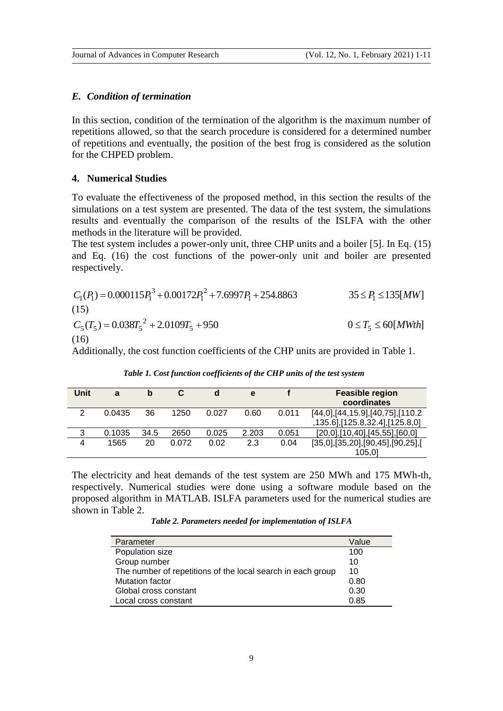#### *E. Condition of termination*

In this section, condition of the termination of the algorithm is the maximum number of repetitions allowed, so that the search procedure is considered for a determined number of repetitions and eventually, the position of the best frog is considered as the solution for the CHPED problem.

#### **4. Numerical Studies**

To evaluate the effectiveness of the proposed method, in this section the results of the simulations on a test system are presented. The data of the test system, the simulations results and eventually the comparison of the results of the ISLFA with the other methods in the literature will be provided.

The test system includes a power-only unit, three CHP units and a boiler [5]. In Eq. (15) and Eq. (16) the cost functions of the power-only unit and boiler are presented respectively.

$$
C_1(P_1) = 0.000115P_1^3 + 0.00172P_1^2 + 7.6997P_1 + 254.8863
$$
  
(15)  

$$
C_5(T_5) = 0.038T_5^2 + 2.0109T_5 + 950
$$
  
(16) 
$$
0 \le T_5 \le 60[MWh]
$$

Additionally, the cost function coefficients of the CHP units are provided in Table 1.

| Unit           | a      | b    |       | d     | e     |       | <b>Feasible region</b><br>coordinates                                  |
|----------------|--------|------|-------|-------|-------|-------|------------------------------------------------------------------------|
| 2              | 0.0435 | 36   | 1250  | 0.027 | 0.60  | 0.011 | [44,0], [44, 15.9], [40, 75], [110.2<br>,135.6],[125.8,32.4],[125.8,0] |
| 3              | 0.1035 | 34.5 | 2650  | 0.025 | 2.203 | 0.051 | $[20,0]$ , $[10,40]$ , $[45,55]$ , $[60,0]$                            |
| $\overline{4}$ | 1565   | 20   | 0.072 | 0.02  | 2.3   | 0.04  | [35,0],[35,20],[90,45],[90,25],[<br>105.01                             |

*Table 1. Cost function coefficients of the CHP units of the test system*

The electricity and heat demands of the test system are 250 MWh and 175 MWh-th, respectively. Numerical studies were done using a software module based on the proposed algorithm in MATLAB. ISLFA parameters used for the numerical studies are shown in Table 2.

*Table 2. Parameters needed for implementation of ISLFA*

| Parameter                                                   | Value |
|-------------------------------------------------------------|-------|
| Population size                                             | 100   |
| Group number                                                | 10    |
| The number of repetitions of the local search in each group | 10    |
| <b>Mutation factor</b>                                      | 0.80  |
| Global cross constant                                       | 0.30  |
| Local cross constant                                        | 0.85  |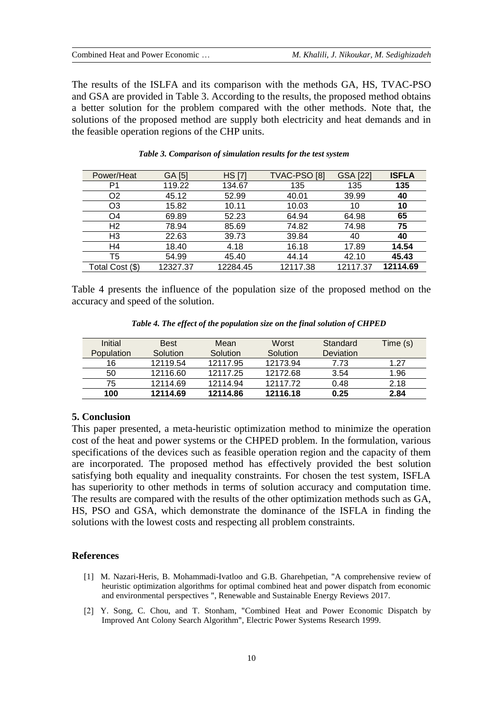The results of the ISLFA and its comparison with the methods GA, HS, TVAC-PSO and GSA are provided in Table 3. According to the results, the proposed method obtains a better solution for the problem compared with the other methods. Note that, the solutions of the proposed method are supply both electricity and heat demands and in the feasible operation regions of the CHP units.

| Power/Heat      | GA [5]   | <b>HS</b> [7] | TVAC-PSO <sub>[8]</sub> | <b>GSA [22]</b> | <b>ISFLA</b> |
|-----------------|----------|---------------|-------------------------|-----------------|--------------|
| P1              | 119.22   | 134.67        | 135                     | 135             | 135          |
| O2              | 45.12    | 52.99         | 40.01                   | 39.99           | 40           |
| O3              | 15.82    | 10.11         | 10.03                   | 10              | 10           |
| O4              | 69.89    | 52.23         | 64.94                   | 64.98           | 65           |
| H <sub>2</sub>  | 78.94    | 85.69         | 74.82                   | 74.98           | 75           |
| H <sub>3</sub>  | 22.63    | 39.73         | 39.84                   | 40              | 40           |
| H4              | 18.40    | 4.18          | 16.18                   | 17.89           | 14.54        |
| T5              | 54.99    | 45.40         | 44.14                   | 42.10           | 45.43        |
| Total Cost (\$) | 12327.37 | 12284.45      | 12117.38                | 12117.37        | 12114.69     |

#### *Table 3. Comparison of simulation results for the test system*

Table 4 presents the influence of the population size of the proposed method on the accuracy and speed of the solution.

| Initial    | <b>Best</b> | Mean     | Worst    | Standard  | Time (s) |
|------------|-------------|----------|----------|-----------|----------|
| Population | Solution    | Solution | Solution | Deviation |          |
| 16         | 12119.54    | 12117.95 | 12173.94 | 7.73      | 1.27     |
| 50         | 12116.60    | 12117.25 | 12172.68 | 3.54      | 1.96     |
| 75         | 12114.69    | 12114.94 | 1211772  | 0.48      | 2.18     |
| 100        | 12114.69    | 12114.86 | 12116.18 | 0.25      | 2.84     |

*Table 4. The effect of the population size on the final solution of CHPED*

#### **5. Conclusion**

This paper presented, a meta-heuristic optimization method to minimize the operation cost of the heat and power systems or the CHPED problem. In the formulation, various specifications of the devices such as feasible operation region and the capacity of them are incorporated. The proposed method has effectively provided the best solution satisfying both equality and inequality constraints. For chosen the test system, ISFLA has superiority to other methods in terms of solution accuracy and computation time. The results are compared with the results of the other optimization methods such as GA, HS, PSO and GSA, which demonstrate the dominance of the ISFLA in finding the solutions with the lowest costs and respecting all problem constraints.

## **References**

- [1] M. Nazari-Heris, B. Mohammadi-Ivatloo and G.B. Gharehpetian, "A comprehensive review of heuristic optimization algorithms for optimal combined heat and power dispatch from economic and environmental perspectives ", Renewable and Sustainable Energy Reviews 2017.
- [2] Y. Song, C. Chou, and T. Stonham, "Combined Heat and Power Economic Dispatch by Improved Ant Colony Search Algorithm", Electric Power Systems Research 1999.